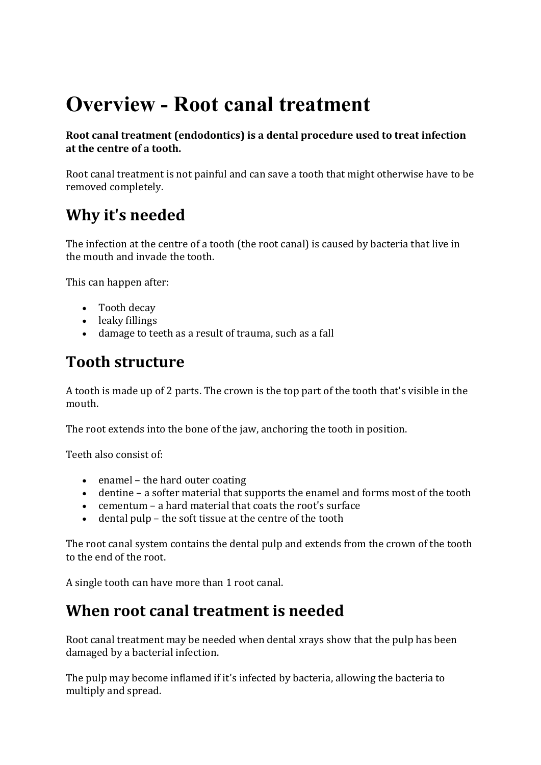# **Overview - Root canal treatment**

**Root canal treatment (endodontics) is a dental procedure used to treat infection** at the centre of a tooth.

Root canal treatment is not painful and can save a tooth that might otherwise have to be removed completely.

# **Why it's needed**

The infection at the centre of a tooth (the root canal) is caused by bacteria that live in the mouth and invade the tooth

This can happen after:

- Tooth decay
- leaky fillings
- damage to teeth as a result of trauma, such as a fall

## **Tooth structure**

A tooth is made up of 2 parts. The crown is the top part of the tooth that's visible in the mouth.

The root extends into the bone of the jaw, anchoring the tooth in position.

Teeth also consist of

- $\bullet$  enamel the hard outer coating
- dentine  $-$  a softer material that supports the enamel and forms most of the tooth
- cementum a hard material that coats the root's surface
- $\bullet$  dental pulp the soft tissue at the centre of the tooth

The root canal system contains the dental pulp and extends from the crown of the tooth to the end of the root.

A single tooth can have more than 1 root canal.

#### **When root canal treatment is needed**

Root canal treatment may be needed when dental xrays show that the pulp has been damaged by a bacterial infection.

The pulp may become inflamed if it's infected by bacteria, allowing the bacteria to multiply and spread.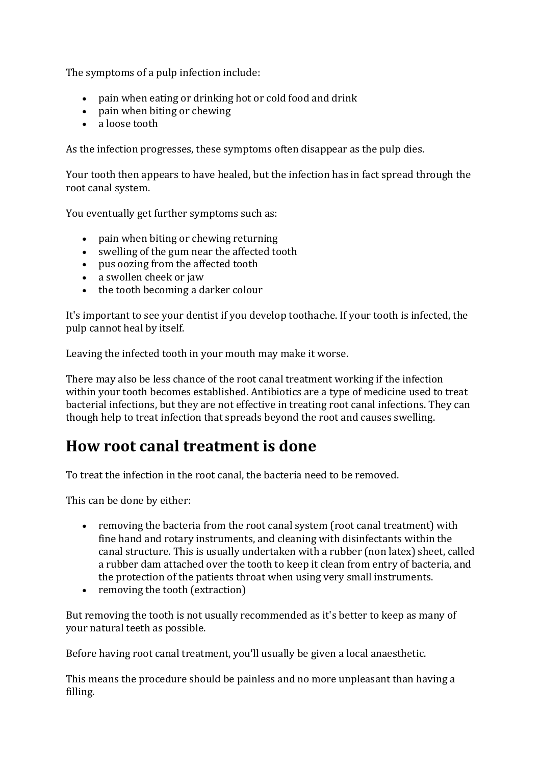The symptoms of a pulp infection include:

- pain when eating or drinking hot or cold food and drink
- pain when biting or chewing
- a loose tooth

As the infection progresses, these symptoms often disappear as the pulp dies.

Your tooth then appears to have healed, but the infection has in fact spread through the root canal system.

You eventually get further symptoms such as:

- $\bullet$  pain when biting or chewing returning
- swelling of the gum near the affected tooth
- pus oozing from the affected tooth
- a swollen cheek or jaw
- $\bullet$  the tooth becoming a darker colour

It's important to see your dentist if you develop toothache. If your tooth is infected, the pulp cannot heal by itself.

Leaving the infected tooth in your mouth may make it worse.

There may also be less chance of the root canal treatment working if the infection within your tooth becomes established. Antibiotics are a type of medicine used to treat bacterial infections, but they are not effective in treating root canal infections. They can though help to treat infection that spreads beyond the root and causes swelling.

## **How root canal treatment is done**

To treat the infection in the root canal, the bacteria need to be removed.

This can be done by either:

- removing the bacteria from the root canal system (root canal treatment) with fine hand and rotary instruments, and cleaning with disinfectants within the canal structure. This is usually undertaken with a rubber (non latex) sheet, called a rubber dam attached over the tooth to keep it clean from entry of bacteria, and the protection of the patients throat when using very small instruments.
- $\bullet$  removing the tooth (extraction)

But removing the tooth is not usually recommended as it's better to keep as many of your natural teeth as possible.

Before having root canal treatment, you'll usually be given a local anaesthetic.

This means the procedure should be painless and no more unpleasant than having a filling.